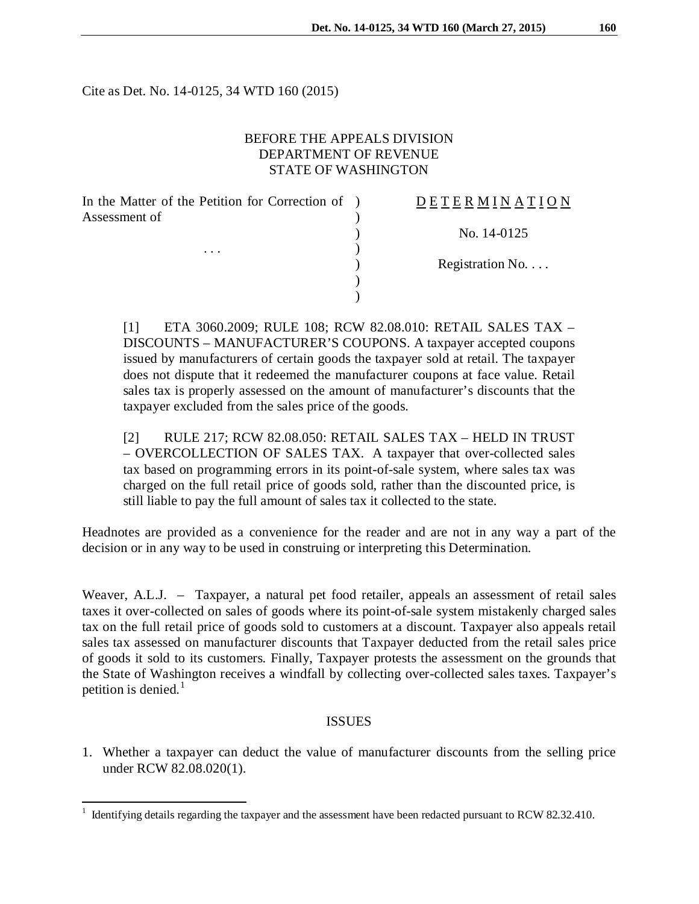Cite as Det. No. 14-0125, 34 WTD 160 (2015)

## BEFORE THE APPEALS DIVISION DEPARTMENT OF REVENUE STATE OF WASHINGTON

| In the Matter of the Petition for Correction of ) |  |
|---------------------------------------------------|--|
| Assessment of                                     |  |
|                                                   |  |
|                                                   |  |
|                                                   |  |
|                                                   |  |

# DETERMINATION

) No. 14-0125

) Registration No. . . .

[1] ETA 3060.2009; RULE 108; RCW 82.08.010: RETAIL SALES TAX – DISCOUNTS – MANUFACTURER'S COUPONS. A taxpayer accepted coupons issued by manufacturers of certain goods the taxpayer sold at retail. The taxpayer does not dispute that it redeemed the manufacturer coupons at face value. Retail sales tax is properly assessed on the amount of manufacturer's discounts that the taxpayer excluded from the sales price of the goods.

)

[2] RULE 217; RCW 82.08.050: RETAIL SALES TAX – HELD IN TRUST – OVERCOLLECTION OF SALES TAX. A taxpayer that over-collected sales tax based on programming errors in its point-of-sale system, where sales tax was charged on the full retail price of goods sold, rather than the discounted price, is still liable to pay the full amount of sales tax it collected to the state.

Headnotes are provided as a convenience for the reader and are not in any way a part of the decision or in any way to be used in construing or interpreting this Determination.

Weaver, A.L.J. – Taxpayer, a natural pet food retailer, appeals an assessment of retail sales taxes it over-collected on sales of goods where its point-of-sale system mistakenly charged sales tax on the full retail price of goods sold to customers at a discount. Taxpayer also appeals retail sales tax assessed on manufacturer discounts that Taxpayer deducted from the retail sales price of goods it sold to its customers. Finally, Taxpayer protests the assessment on the grounds that the State of Washington receives a windfall by collecting over-collected sales taxes. Taxpayer's petition is denied. $<sup>1</sup>$  $<sup>1</sup>$  $<sup>1</sup>$ </sup>

#### ISSUES

1. Whether a taxpayer can deduct the value of manufacturer discounts from the selling price under RCW 82.08.020(1).

 $\overline{a}$ 

<span id="page-0-0"></span><sup>1</sup> Identifying details regarding the taxpayer and the assessment have been redacted pursuant to RCW 82.32.410.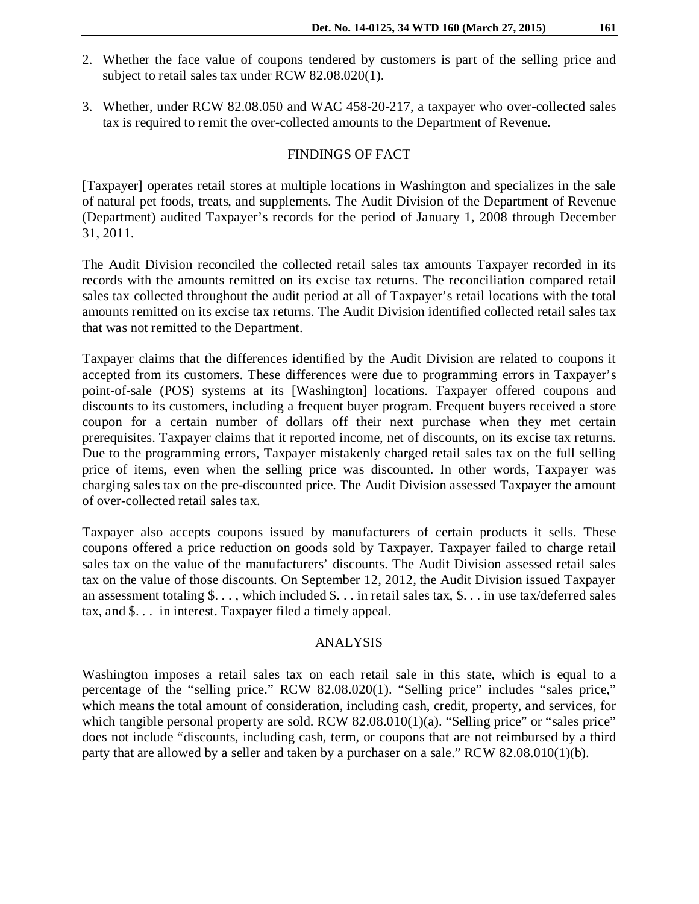- 2. Whether the face value of coupons tendered by customers is part of the selling price and subject to retail sales tax under RCW 82.08.020(1).
- 3. Whether, under RCW 82.08.050 and WAC 458-20-217, a taxpayer who over-collected sales tax is required to remit the over-collected amounts to the Department of Revenue.

### FINDINGS OF FACT

[Taxpayer] operates retail stores at multiple locations in Washington and specializes in the sale of natural pet foods, treats, and supplements. The Audit Division of the Department of Revenue (Department) audited Taxpayer's records for the period of January 1, 2008 through December 31, 2011.

The Audit Division reconciled the collected retail sales tax amounts Taxpayer recorded in its records with the amounts remitted on its excise tax returns. The reconciliation compared retail sales tax collected throughout the audit period at all of Taxpayer's retail locations with the total amounts remitted on its excise tax returns. The Audit Division identified collected retail sales tax that was not remitted to the Department.

Taxpayer claims that the differences identified by the Audit Division are related to coupons it accepted from its customers. These differences were due to programming errors in Taxpayer's point-of-sale (POS) systems at its [Washington] locations. Taxpayer offered coupons and discounts to its customers, including a frequent buyer program. Frequent buyers received a store coupon for a certain number of dollars off their next purchase when they met certain prerequisites. Taxpayer claims that it reported income, net of discounts, on its excise tax returns. Due to the programming errors, Taxpayer mistakenly charged retail sales tax on the full selling price of items, even when the selling price was discounted. In other words, Taxpayer was charging sales tax on the pre-discounted price. The Audit Division assessed Taxpayer the amount of over-collected retail sales tax.

Taxpayer also accepts coupons issued by manufacturers of certain products it sells. These coupons offered a price reduction on goods sold by Taxpayer. Taxpayer failed to charge retail sales tax on the value of the manufacturers' discounts. The Audit Division assessed retail sales tax on the value of those discounts. On September 12, 2012, the Audit Division issued Taxpayer an assessment totaling  $\$\dots$ , which included  $\$\dots$  in retail sales tax,  $\$\dots$  in use tax/deferred sales tax, and \$. . . in interest. Taxpayer filed a timely appeal.

### ANALYSIS

Washington imposes a retail sales tax on each retail sale in this state, which is equal to a percentage of the "selling price." RCW 82.08.020(1). "Selling price" includes "sales price," which means the total amount of consideration, including cash, credit, property, and services, for which tangible personal property are sold. RCW 82.08.010(1)(a). "Selling price" or "sales price" does not include "discounts, including cash, term, or coupons that are not reimbursed by a third party that are allowed by a seller and taken by a purchaser on a sale." RCW 82.08.010(1)(b).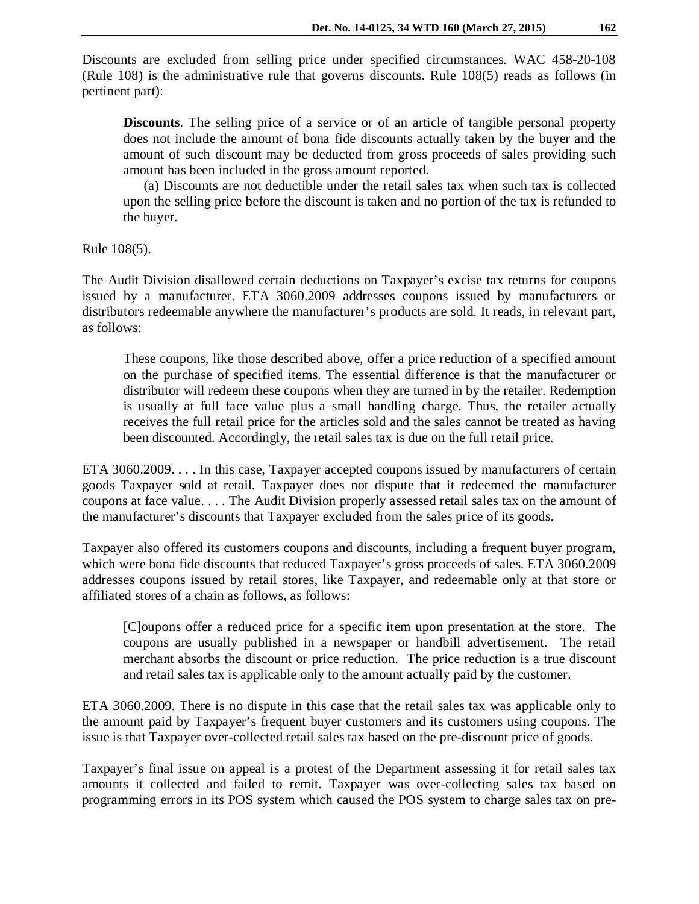Discounts are excluded from selling price under specified circumstances. WAC 458-20-108 (Rule 108) is the administrative rule that governs discounts. Rule 108(5) reads as follows (in pertinent part):

**Discounts**. The selling price of a service or of an article of tangible personal property does not include the amount of bona fide discounts actually taken by the buyer and the amount of such discount may be deducted from gross proceeds of sales providing such amount has been included in the gross amount reported.

(a) Discounts are not deductible under the retail sales tax when such tax is collected upon the selling price before the discount is taken and no portion of the tax is refunded to the buyer.

Rule 108(5).

The Audit Division disallowed certain deductions on Taxpayer's excise tax returns for coupons issued by a manufacturer. ETA 3060.2009 addresses coupons issued by manufacturers or distributors redeemable anywhere the manufacturer's products are sold. It reads, in relevant part, as follows:

These coupons, like those described above, offer a price reduction of a specified amount on the purchase of specified items. The essential difference is that the manufacturer or distributor will redeem these coupons when they are turned in by the retailer. Redemption is usually at full face value plus a small handling charge. Thus, the retailer actually receives the full retail price for the articles sold and the sales cannot be treated as having been discounted. Accordingly, the retail sales tax is due on the full retail price.

ETA 3060.2009. . . . In this case, Taxpayer accepted coupons issued by manufacturers of certain goods Taxpayer sold at retail. Taxpayer does not dispute that it redeemed the manufacturer coupons at face value. . . . The Audit Division properly assessed retail sales tax on the amount of the manufacturer's discounts that Taxpayer excluded from the sales price of its goods.

Taxpayer also offered its customers coupons and discounts, including a frequent buyer program, which were bona fide discounts that reduced Taxpayer's gross proceeds of sales. ETA 3060.2009 addresses coupons issued by retail stores, like Taxpayer, and redeemable only at that store or affiliated stores of a chain as follows, as follows:

[C]oupons offer a reduced price for a specific item upon presentation at the store. The coupons are usually published in a newspaper or handbill advertisement. The retail merchant absorbs the discount or price reduction. The price reduction is a true discount and retail sales tax is applicable only to the amount actually paid by the customer.

ETA 3060.2009. There is no dispute in this case that the retail sales tax was applicable only to the amount paid by Taxpayer's frequent buyer customers and its customers using coupons. The issue is that Taxpayer over-collected retail sales tax based on the pre-discount price of goods.

Taxpayer's final issue on appeal is a protest of the Department assessing it for retail sales tax amounts it collected and failed to remit. Taxpayer was over-collecting sales tax based on programming errors in its POS system which caused the POS system to charge sales tax on pre